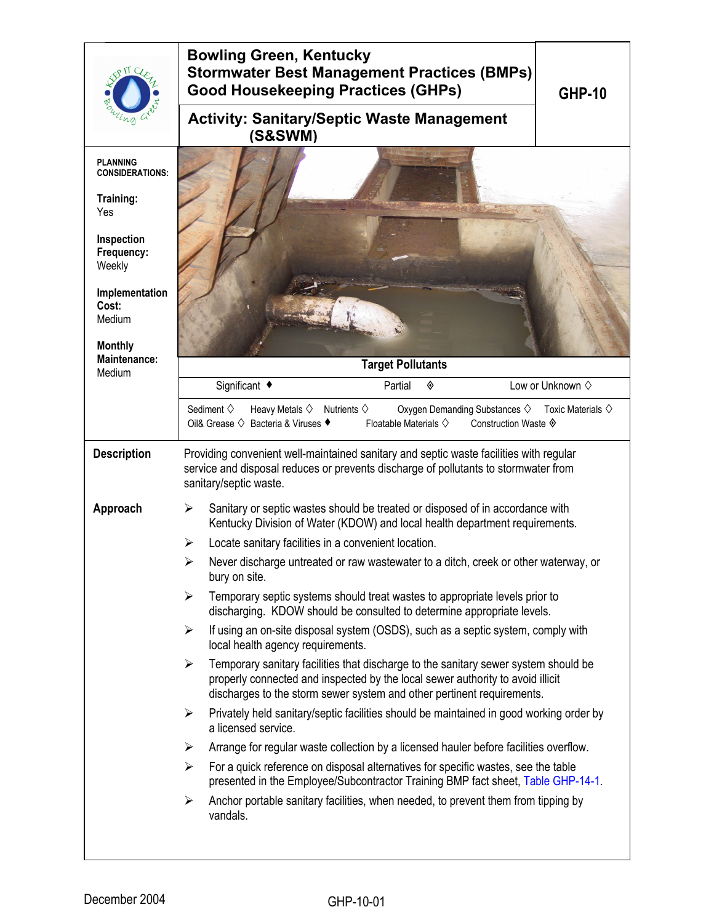|                                                                                                      | <b>Bowling Green, Kentucky</b><br><b>Stormwater Best Management Practices (BMPs)</b><br><b>Good Housekeeping Practices (GHPs)</b><br><b>GHP-10</b>                                                                                                                       |  |  |  |  |
|------------------------------------------------------------------------------------------------------|--------------------------------------------------------------------------------------------------------------------------------------------------------------------------------------------------------------------------------------------------------------------------|--|--|--|--|
|                                                                                                      | <b>Activity: Sanitary/Septic Waste Management</b><br>(S&SWM)                                                                                                                                                                                                             |  |  |  |  |
| <b>PLANNING</b><br><b>CONSIDERATIONS:</b>                                                            |                                                                                                                                                                                                                                                                          |  |  |  |  |
| Training:<br>Yes                                                                                     |                                                                                                                                                                                                                                                                          |  |  |  |  |
| Inspection<br>Frequency:<br>Weekly                                                                   |                                                                                                                                                                                                                                                                          |  |  |  |  |
| Implementation<br>Cost:<br>Medium<br><b>Monthly</b>                                                  |                                                                                                                                                                                                                                                                          |  |  |  |  |
| <b>Maintenance:</b><br>Medium                                                                        | <b>Target Pollutants</b>                                                                                                                                                                                                                                                 |  |  |  |  |
|                                                                                                      | Significant ◆<br>Low or Unknown $\diamond$<br>Partial<br>◈                                                                                                                                                                                                               |  |  |  |  |
|                                                                                                      | Sediment $\diamond$<br>Oxygen Demanding Substances ♦<br>Heavy Metals $\diamondsuit$<br>Nutrients $\diamondsuit$<br>Toxic Materials $\diamondsuit$<br>Oil& Grease ♦ Bacteria & Viruses ♦<br>Floatable Materials $\diamondsuit$<br>Construction Waste ♦                    |  |  |  |  |
| <b>Description</b>                                                                                   | Providing convenient well-maintained sanitary and septic waste facilities with regular<br>service and disposal reduces or prevents discharge of pollutants to stormwater from<br>sanitary/septic waste.                                                                  |  |  |  |  |
| Approach                                                                                             | Sanitary or septic wastes should be treated or disposed of in accordance with<br>➤<br>Kentucky Division of Water (KDOW) and local health department requirements.                                                                                                        |  |  |  |  |
|                                                                                                      | Locate sanitary facilities in a convenient location.<br>➤                                                                                                                                                                                                                |  |  |  |  |
| Never discharge untreated or raw wastewater to a ditch, creek or other waterway, or<br>bury on site. |                                                                                                                                                                                                                                                                          |  |  |  |  |
|                                                                                                      | Temporary septic systems should treat wastes to appropriate levels prior to<br>$\blacktriangleright$<br>discharging. KDOW should be consulted to determine appropriate levels.                                                                                           |  |  |  |  |
|                                                                                                      | If using an on-site disposal system (OSDS), such as a septic system, comply with<br>$\blacktriangleright$<br>local health agency requirements.                                                                                                                           |  |  |  |  |
|                                                                                                      | Temporary sanitary facilities that discharge to the sanitary sewer system should be<br>$\blacktriangleright$<br>properly connected and inspected by the local sewer authority to avoid illicit<br>discharges to the storm sewer system and other pertinent requirements. |  |  |  |  |
|                                                                                                      | Privately held sanitary/septic facilities should be maintained in good working order by<br>$\blacktriangleright$<br>a licensed service.                                                                                                                                  |  |  |  |  |
|                                                                                                      | Arrange for regular waste collection by a licensed hauler before facilities overflow.<br>≻                                                                                                                                                                               |  |  |  |  |
|                                                                                                      | For a quick reference on disposal alternatives for specific wastes, see the table<br>➤<br>presented in the Employee/Subcontractor Training BMP fact sheet, Table GHP-14-1.                                                                                               |  |  |  |  |
|                                                                                                      | Anchor portable sanitary facilities, when needed, to prevent them from tipping by<br>➤<br>vandals.                                                                                                                                                                       |  |  |  |  |
|                                                                                                      |                                                                                                                                                                                                                                                                          |  |  |  |  |